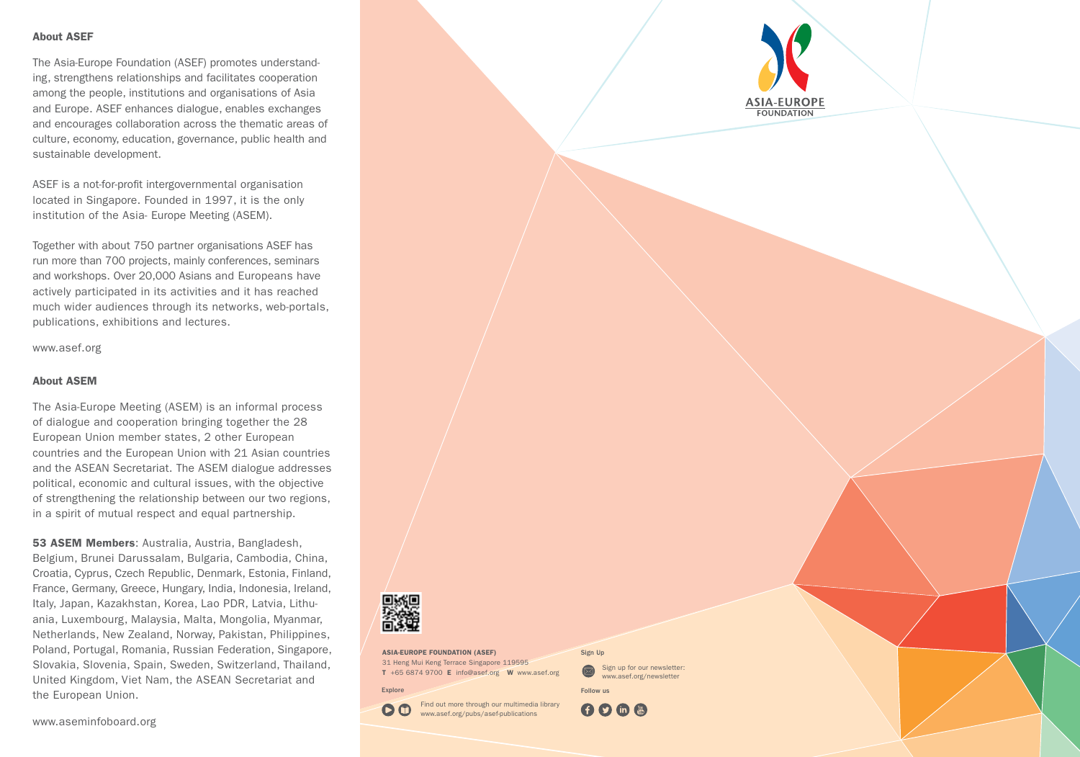#### About ASEF

The Asia-Europe Foundation (ASEF) promotes understanding, strengthens relationships and facilitates cooperation among the people, institutions and organisations of Asia and Europe. ASEF enhances dialogue, enables exchanges and encourages collaboration across the thematic areas of culture, economy, education, governance, public health and sustainable development.

ASEF is a not-for-profit intergovernmental organisation located in Singapore. Founded in 1997, it is the only institution of the Asia- Europe Meeting (ASEM).

Together with about 750 partner organisations ASEF has run more than 700 projects, mainly conferences, seminars and workshops. Over 20,000 Asians and Europeans have actively participated in its activities and it has reached much wider audiences through its networks, web-portals, publications, exhibitions and lectures.

www.asef.org

#### About ASEM

The Asia-Europe Meeting (ASEM) is an informal process of dialogue and cooperation bringing together the 28 European Union member states, 2 other European countries and the European Union with 21 Asian countries and the ASEAN Secretariat. The ASEM dialogue addresses political, economic and cultural issues, with the objective of strengthening the relationship between our two regions, in a spirit of mutual respect and equal partnership.

53 ASEM Members: Australia, Austria, Bangladesh, Belgium, Brunei Darussalam, Bulgaria, Cambodia, China, Croatia, Cyprus, Czech Republic, Denmark, Estonia, Finland, France, Germany, Greece, Hungary, India, Indonesia, Ireland, Italy, Japan, Kazakhstan, Korea, Lao PDR, Latvia, Lithuania, Luxembourg, Malaysia, Malta, Mongolia, Myanmar, Netherlands, New Zealand, Norway, Pakistan, Philippines, Poland, Portugal, Romania, Russian Federation, Singapore, Slovakia, Slovenia, Spain, Sweden, Switzerland, Thailand, United Kingdom, Viet Nam, the ASEAN Secretariat and the European Union.



ASIA-EUROPE FOUNDATION (ASEF) 31 Heng Mui Keng Terrace Singapore 119595 T +65 6874 9700 E info@asef.org W www.asef.org

www.asef.org/pubs/asef-publications

Explore

Find out more through our multimedia library 

Follow us

Sign up for our newsletter: www.asef.org/newsletter

Sign Up